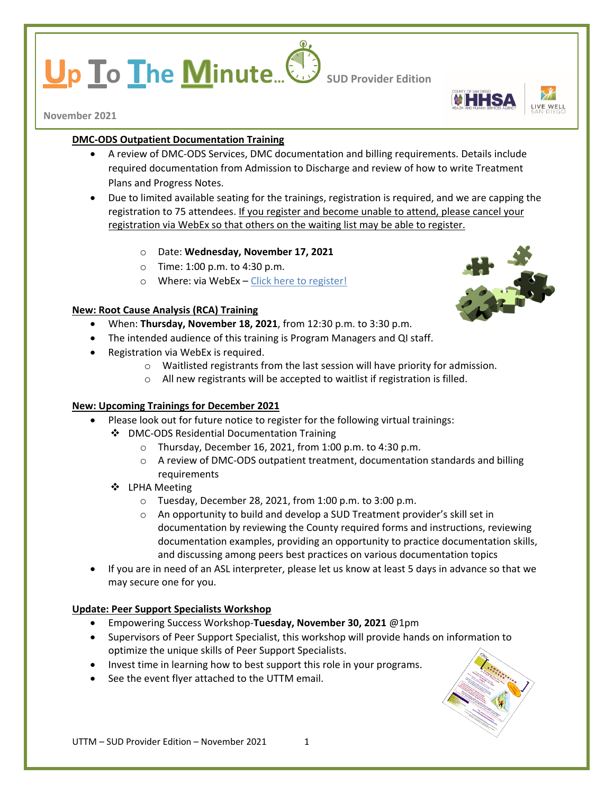# **p To The Minute...** Sub Provider Edition



**November 2021**

# **DMC-ODS Outpatient Documentation Training**

- A review of DMC-ODS Services, DMC documentation and billing requirements. Details include required documentation from Admission to Discharge and review of how to write Treatment Plans and Progress Notes.
- Due to limited available seating for the trainings, registration is required, and we are capping the registration to 75 attendees. If you register and become unable to attend, please cancel your registration via WebEx so that others on the waiting list may be able to register.
	- o Date: **Wednesday, November 17, 2021**
	- o Time: 1:00 p.m. to 4:30 p.m.
	- o Where: via WebEx – [Click here to register!](https://sdcountyca.webex.com/mw3300/mywebex/default.do?service=7&nomenu=true&main_url=%2Ftc3300%2Ftrainingcenter%2FLoading.do%3Fsiteurl%3Dsdcountyca%26UID%3D-99999999%26RT%3DMiM0%26siteurl%3Dsdcountyca%26apiname%3Dj.php%26MTID%3Dt5a491da99e1f04a0c75df167df0ca07e%26FM%3D1%26rnd%3D0896401936%26servicename%3DTC%26ED%3D1455883382%26needFilter%3Dfalse&siteurl=sdcountyca)

# **New: Root Cause Analysis (RCA) Training**

- When: **Thursday, November 18, 2021**, from 12:30 p.m. to 3:30 p.m.
- The intended audience of this training is Program Managers and QI staff.
- Registration via WebEx is required.
	- o Waitlisted registrants from the last session will have priority for admission.
	- o All new registrants will be accepted to waitlist if registration is filled.

#### **New: Upcoming Trainings for December 2021**

- Please look out for future notice to register for the following virtual trainings:
	- DMC-ODS Residential Documentation Training
		- o Thursday, December 16, 2021, from 1:00 p.m. to 4:30 p.m.
		- o A review of DMC-ODS outpatient treatment, documentation standards and billing requirements
	- LPHA Meeting
		- o Tuesday, December 28, 2021, from 1:00 p.m. to 3:00 p.m.
		- o An opportunity to build and develop a SUD Treatment provider's skill set in documentation by reviewing the County required forms and instructions, reviewing documentation examples, providing an opportunity to practice documentation skills, and discussing among peers best practices on various documentation topics
- If you are in need of an ASL interpreter, please let us know at least 5 days in advance so that we may secure one for you.

# **Update: Peer Support Specialists Workshop**

- Empowering Success Workshop-**Tuesday, November 30, 2021** @1pm
- Supervisors of Peer Support Specialist, this workshop will provide hands on information to optimize the unique skills of Peer Support Specialists.
- Invest time in learning how to best support this role in your programs.
- See the event flyer attached to the UTTM email.



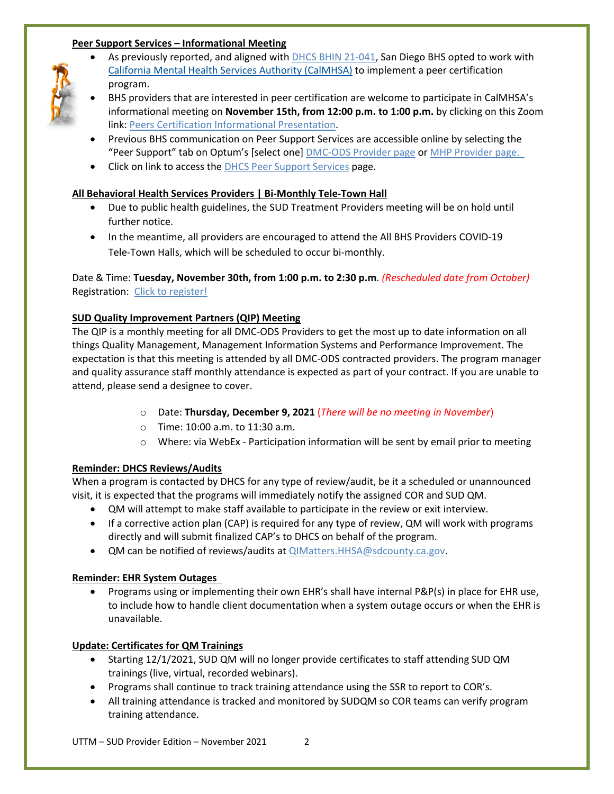# **Peer Support Services – Informational Meeting**

• As previously reported, and aligned with [DHCS BHIN 21-041,](https://www.dhcs.ca.gov/Documents/CSD_BL/BHIN-21-041.pdf) San Diego BHS opted to work with [California Mental Health Services Authority \(CalMHSA\)](https://www.calmhsa.org/peer-certification/) to implement a peer certification program.



- BHS providers that are interested in peer certification are welcome to participate in CalMHSA's informational meeting on **November 15th, from 12:00 p.m. to 1:00 p.m.** by clicking on this Zoom link: [Peers Certification Informational Presentation.](https://us02web.zoom.us/j/87349029817)
- Previous BHS communication on Peer Support Services are accessible online by selecting the "Peer Support" tab on Optum's [select one] [DMC-ODS Provider page](https://www.optumsandiego.com/content/sandiego/en/county-staff---providers/dmc-ods.html) or [MHP Provider page.](https://www.optumsandiego.com/content/SanDiego/sandiego/en/county-staff---providers/orgpublicdocs.html)
- Click on link to access the [DHCS Peer Support Services](https://www.dhcs.ca.gov/services/Pages/Peer-Support-Services.aspx) page.

## **All Behavioral Health Services Providers | Bi-Monthly Tele-Town Hall**

- Due to public health guidelines, the SUD Treatment Providers meeting will be on hold until further notice.
- In the meantime, all providers are encouraged to attend the All BHS Providers COVID-19 Tele-Town Halls, which will be scheduled to occur bi-monthly.

# Date & Time: **Tuesday, November 30th, from 1:00 p.m. to 2:30 p.m**. *(Rescheduled date from October)* Registration: [Click to register!](https://sdcountyca.webex.com/mw3300/mywebex/default.do?nomenu=true&siteurl=sdcountyca&service=6&rnd=0.9648494560488824&main_url=https%3A%2F%2Fsdcountyca.webex.com%2Fec3300%2Feventcenter%2Fevent%2FeventAction.do%3FtheAction%3Ddetail%26%26%26EMK%3D4832534b0000000538f8d34491377d52f469a4718f7cb7650c5e97bd5ee53bfb9507641b97985342%26siteurl%3Dsdcountyca%26confViewID%3D210626122939933468%26encryptTicket%3DSDJTSwAAAAWIYrSAsnc1iB85vzYbTUXVrl_EhSkTo4vY4QVU1P4NRg2%26)

# **SUD Quality Improvement Partners (QIP) Meeting**

The QIP is a monthly meeting for all DMC-ODS Providers to get the most up to date information on all things Quality Management, Management Information Systems and Performance Improvement. The expectation is that this meeting is attended by all DMC-ODS contracted providers. The program manager and quality assurance staff monthly attendance is expected as part of your contract. If you are unable to attend, please send a designee to cover.

- o Date: **Thursday, December 9, 2021** (*There will be no meeting in November*)
- o Time: 10:00 a.m. to 11:30 a.m.
- o Where: via WebEx Participation information will be sent by email prior to meeting

# **Reminder: DHCS Reviews/Audits**

When a program is contacted by DHCS for any type of review/audit, be it a scheduled or unannounced visit, it is expected that the programs will immediately notify the assigned COR and SUD QM.

- QM will attempt to make staff available to participate in the review or exit interview.
- If a corrective action plan (CAP) is required for any type of review, QM will work with programs directly and will submit finalized CAP's to DHCS on behalf of the program.
- QM can be notified of reviews/audits at [QIMatters.HHSA@sdcounty.ca.gov.](mailto:QIMatters.HHSA@sdcounty.ca.gov)

# **Reminder: EHR System Outages**

• Programs using or implementing their own EHR's shall have internal P&P(s) in place for EHR use, to include how to handle client documentation when a system outage occurs or when the EHR is unavailable.

#### **Update: Certificates for QM Trainings**

- Starting 12/1/2021, SUD QM will no longer provide certificates to staff attending SUD QM trainings (live, virtual, recorded webinars).
- Programs shall continue to track training attendance using the SSR to report to COR's.
- All training attendance is tracked and monitored by SUDQM so COR teams can verify program training attendance.

UTTM – SUD Provider Edition – November 2021 2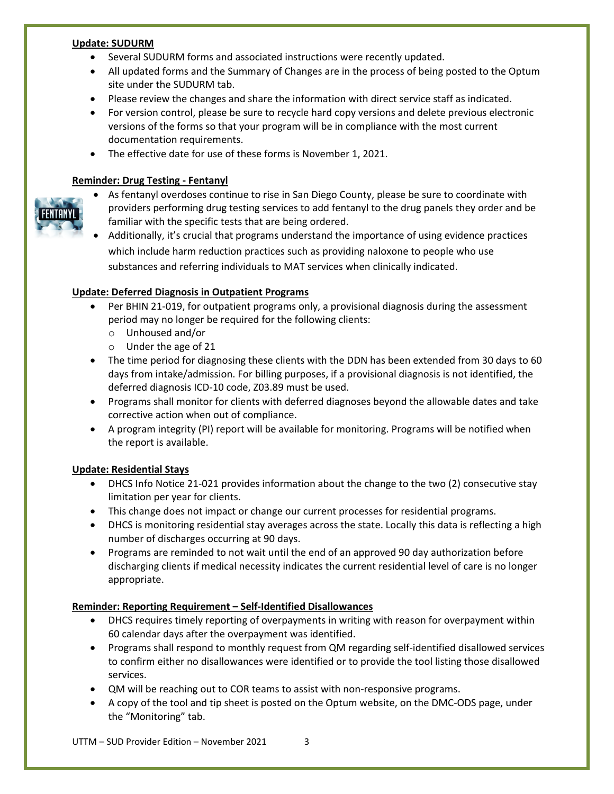#### **Update: SUDURM**

- Several SUDURM forms and associated instructions were recently updated.
- All updated forms and the Summary of Changes are in the process of being posted to the Optum site under the SUDURM tab.
- Please review the changes and share the information with direct service staff as indicated.
- For version control, please be sure to recycle hard copy versions and delete previous electronic versions of the forms so that your program will be in compliance with the most current documentation requirements.
- The effective date for use of these forms is November 1, 2021.

# **Reminder: Drug Testing - Fentanyl**



- As fentanyl overdoses continue to rise in San Diego County, please be sure to coordinate with providers performing drug testing services to add fentanyl to the drug panels they order and be familiar with the specific tests that are being ordered.
- Additionally, it's crucial that programs understand the importance of using evidence practices which include harm reduction practices such as providing naloxone to people who use substances and referring individuals to MAT services when clinically indicated.

# **Update: Deferred Diagnosis in Outpatient Programs**

- Per BHIN 21-019, for outpatient programs only, a provisional diagnosis during the assessment period may no longer be required for the following clients:
	- o Unhoused and/or
	- o Under the age of 21
- The time period for diagnosing these clients with the DDN has been extended from 30 days to 60 days from intake/admission. For billing purposes, if a provisional diagnosis is not identified, the deferred diagnosis ICD-10 code, Z03.89 must be used.
- Programs shall monitor for clients with deferred diagnoses beyond the allowable dates and take corrective action when out of compliance.
- A program integrity (PI) report will be available for monitoring. Programs will be notified when the report is available.

# **Update: Residential Stays**

- DHCS Info Notice 21-021 provides information about the change to the two (2) consecutive stay limitation per year for clients.
- This change does not impact or change our current processes for residential programs.
- DHCS is monitoring residential stay averages across the state. Locally this data is reflecting a high number of discharges occurring at 90 days.
- Programs are reminded to not wait until the end of an approved 90 day authorization before discharging clients if medical necessity indicates the current residential level of care is no longer appropriate.

#### **Reminder: Reporting Requirement – Self-Identified Disallowances**

- DHCS requires timely reporting of overpayments in writing with reason for overpayment within 60 calendar days after the overpayment was identified.
- Programs shall respond to monthly request from QM regarding self-identified disallowed services to confirm either no disallowances were identified or to provide the tool listing those disallowed services.
- QM will be reaching out to COR teams to assist with non-responsive programs.
- A copy of the tool and tip sheet is posted on the Optum website, on the DMC-ODS page, under the "Monitoring" tab.

 $UTTM - SLID$  Provider Edition – November 2021 3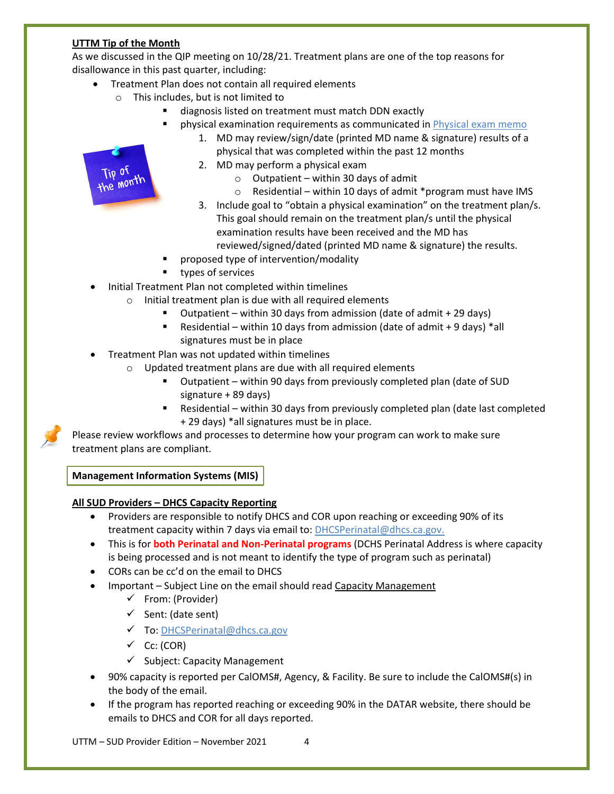# **UTTM Tip of the Month**

As we discussed in the QIP meeting on 10/28/21. Treatment plans are one of the top reasons for disallowance in this past quarter, including:

- Treatment Plan does not contain all required elements
	- o This includes, but is not limited to
		- diagnosis listed on treatment must match DDN exactly
		- physical examination requirements as communicated in [Physical exam memo](https://optumsandiego.com/content/dam/san-diego/documents/dmc-ods/communications/QM_Memo_-_Physical_Exam_Requirements.pdf)
			- 1. MD may review/sign/date (printed MD name & signature) results of a physical that was completed within the past 12 months
			- 2. MD may perform a physical exam
				- $\circ$  Outpatient within 30 days of admit
				- o Residential within 10 days of admit \*program must have IMS
			- 3. Include goal to "obtain a physical examination" on the treatment plan/s. This goal should remain on the treatment plan/s until the physical examination results have been received and the MD has reviewed/signed/dated (printed MD name & signature) the results.
		- proposed type of intervention/modality
		- **types of services**
- Initial Treatment Plan not completed within timelines
	- o Initial treatment plan is due with all required elements
		- Outpatient within 30 days from admission (date of admit + 29 days)
		- Residential within 10 days from admission (date of admit  $+9$  days) \*all signatures must be in place
- Treatment Plan was not updated within timelines
	- o Updated treatment plans are due with all required elements
		- Outpatient within 90 days from previously completed plan (date of SUD signature + 89 days)
		- Residential within 30 days from previously completed plan (date last completed + 29 days) \*all signatures must be in place.

Please review workflows and processes to determine how your program can work to make sure treatment plans are compliant.

**Management Information Systems (MIS)**

#### **All SUD Providers – DHCS Capacity Reporting**

- Providers are responsible to notify DHCS and COR upon reaching or exceeding 90% of its treatment capacity within 7 days via email to: [DHCSPerinatal@dhcs.ca.gov.](mailto:DHCSPerinatal@dhcs.ca.gov)
- This is for **both Perinatal and Non-Perinatal programs** (DCHS Perinatal Address is where capacity is being processed and is not meant to identify the type of program such as perinatal)
- CORs can be cc'd on the email to DHCS
- Important Subject Line on the email should read Capacity Management
	- $\checkmark$  From: (Provider)
	- $\checkmark$  Sent: (date sent)
	- To[: DHCSPerinatal@dhcs.ca.gov](mailto:DHCSPerinatal@dhcs.ca.gov)
	- $\checkmark$  Cc: (COR)
	- $\checkmark$  Subject: Capacity Management
- 90% capacity is reported per CalOMS#, Agency, & Facility. Be sure to include the CalOMS#(s) in the body of the email.
- If the program has reported reaching or exceeding 90% in the DATAR website, there should be emails to DHCS and COR for all days reported.

 $UTTM - SLID$  Provider Edition – November 2021  $4$ 

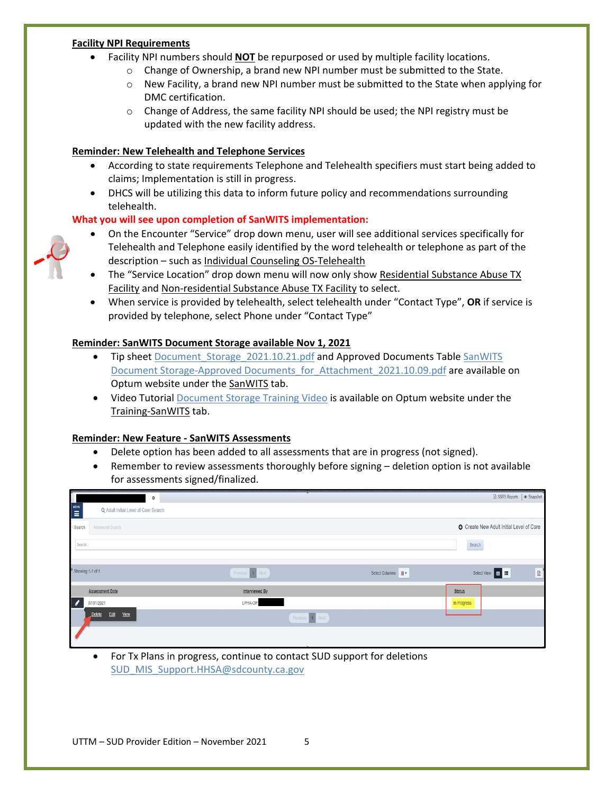#### **Facility NPI Requirements**

- Facility NPI numbers should **NOT** be repurposed or used by multiple facility locations.
	- $\circ$  Change of Ownership, a brand new NPI number must be submitted to the State.
	- $\circ$  New Facility, a brand new NPI number must be submitted to the State when applying for DMC certification.
	- $\circ$  Change of Address, the same facility NPI should be used; the NPI registry must be updated with the new facility address.

#### **Reminder: New Telehealth and Telephone Services**

- According to state requirements Telephone and Telehealth specifiers must start being added to claims; Implementation is still in progress.
- DHCS will be utilizing this data to inform future policy and recommendations surrounding telehealth.

#### **What you will see upon completion of SanWITS implementation:**

- On the Encounter "Service" drop down menu, user will see additional services specifically for Telehealth and Telephone easily identified by the word telehealth or telephone as part of the description – such as Individual Counseling OS-Telehealth
- The "Service Location" drop down menu will now only show Residential Substance Abuse TX Facility and Non-residential Substance Abuse TX Facility to select.
- When service is provided by telehealth, select telehealth under "Contact Type", **OR** if service is provided by telephone, select Phone under "Contact Type"

#### **Reminder: SanWITS Document Storage available Nov 1, 2021**

- Tip sheet [Document\\_Storage\\_2021.10.21.pdf](https://www.optumsandiego.com/content/dam/san-diego/documents/dmc-ods/sanwits/Tip_Sheet_-_Document_Storage_2021.10.21.pdf) and Approved Documents Table SanWITS [Document Storage-Approved Documents\\_for\\_Attachment\\_2021.10.09.pdf](https://www.optumsandiego.com/content/dam/san-diego/documents/dmc-ods/sanwits/SanWITS_Document_%20Storage_Approved_%20Documents_for_Attachment_2021.10.09.pdf) are available on Optum website under the SanWITS tab.
- Video Tutorial [Document Storage Training Video](https://www.optumsandiego.com/content/SanDiego/sandiego/en/county-staff---providers/dmc-ods/document-storage-training.html) is available on Optum website under the Training-SanWITS tab.

#### **Reminder: New Feature - SanWITS Assessments**

- Delete option has been added to all assessments that are in progress (not signed).
- Remember to review assessments thoroughly before signing deletion option is not available for assessments signed/finalized.

| $\circ$                                                       |                 |                | SSRS Reports   @ Snapshot                       |             |
|---------------------------------------------------------------|-----------------|----------------|-------------------------------------------------|-------------|
| $\sum_{n=1}^{\infty}$<br>Q Adult Initial Level of Care Search |                 |                |                                                 |             |
| Search<br>Advanced Search                                     |                 |                | <b>O</b> Create New Adult Initial Level of Care |             |
| Search                                                        |                 |                | Search                                          |             |
|                                                               |                 |                |                                                 |             |
| Bhowing 1-1 of 1                                              | Previous 1 Next | Select Columns | Select View <b>E</b>                            | $\boxtimes$ |
| <b>Assessment Date</b>                                        | Interviewed By  |                | <b>Status</b>                                   |             |
| $\overline{\phantom{a}}$<br>07/01/2021                        | LPHA-OP,        |                | In Progress                                     |             |
| Delete<br>Edit<br><b>View</b>                                 | Previous 1 Next |                |                                                 |             |
|                                                               |                 |                |                                                 |             |
|                                                               |                 |                |                                                 |             |

• For Tx Plans in progress, continue to contact SUD support for deletions [SUD\\_MIS\\_Support.HHSA@sdcounty.ca.gov](mailto:SUD_MIS_Support.HHSA@sdcounty.ca.gov)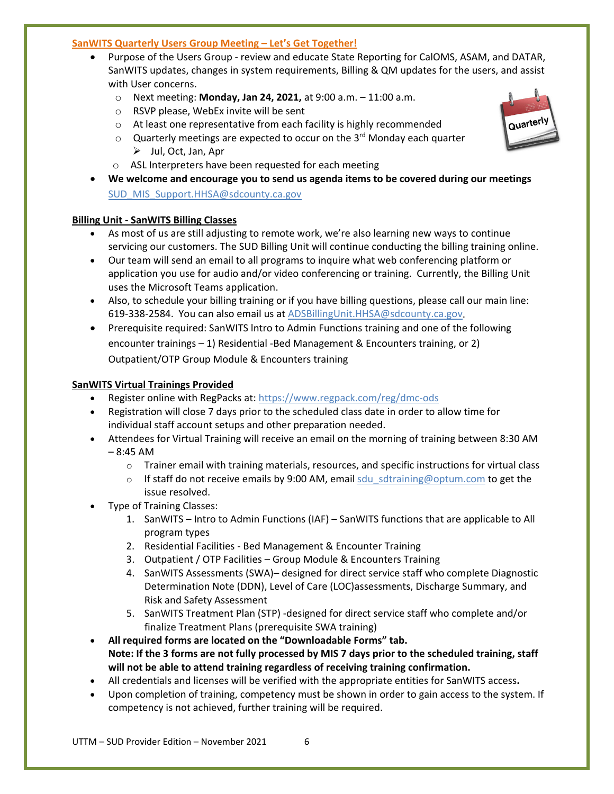#### **SanWITS Quarterly Users Group Meeting – Let's Get Together!**

- Purpose of the Users Group review and educate State Reporting for CalOMS, ASAM, and DATAR, SanWITS updates, changes in system requirements, Billing & QM updates for the users, and assist with User concerns.
	- o Next meeting: **Monday, Jan 24, 2021,** at 9:00 a.m. 11:00 a.m.
	- o RSVP please, WebEx invite will be sent
	- o At least one representative from each facility is highly recommended
	- $\circ$  Quarterly meetings are expected to occur on the 3<sup>rd</sup> Monday each quarter  $\triangleright$  Jul, Oct, Jan, Apr
	- o ASL Interpreters have been requested for each meeting
- **We welcome and encourage you to send us agenda items to be covered during our meetings** [SUD\\_MIS\\_Support.HHSA@sdcounty.ca.gov](mailto:SUD_MIS_Support.HHSA@sdcounty.ca.gov)

# **Billing Unit - SanWITS Billing Classes**

- As most of us are still adjusting to remote work, we're also learning new ways to continue servicing our customers. The SUD Billing Unit will continue conducting the billing training online.
- Our team will send an email to all programs to inquire what web conferencing platform or application you use for audio and/or video conferencing or training. Currently, the Billing Unit uses the Microsoft Teams application.
- Also, to schedule your billing training or if you have billing questions, please call our main line: 619-338-2584. You can also email us at [ADSBillingUnit.HHSA@sdcounty.ca.gov.](mailto:ADSBillingUnit.HHSA@sdcounty.ca.gov)
- Prerequisite required: SanWITS lntro to Admin Functions training and one of the following encounter trainings – 1) Residential -Bed Management & Encounters training, or 2) Outpatient/OTP Group Module & Encounters training

#### **SanWITS Virtual Trainings Provided**

- Register online with RegPacks at: <https://www.regpack.com/reg/dmc-ods>
- Registration will close 7 days prior to the scheduled class date in order to allow time for individual staff account setups and other preparation needed.
- Attendees for Virtual Training will receive an email on the morning of training between 8:30 AM – 8:45 AM
	- $\circ$  Trainer email with training materials, resources, and specific instructions for virtual class
	- $\circ$  If staff do not receive emails by 9:00 AM, email sdu sdtraining@optum.com to get the issue resolved.
- Type of Training Classes:
	- 1. SanWITS Intro to Admin Functions (IAF) SanWITS functions that are applicable to All program types
	- 2. Residential Facilities Bed Management & Encounter Training
	- 3. Outpatient / OTP Facilities Group Module & Encounters Training
	- 4. SanWITS Assessments (SWA)– designed for direct service staff who complete Diagnostic Determination Note (DDN), Level of Care (LOC)assessments, Discharge Summary, and Risk and Safety Assessment
	- 5. SanWITS Treatment Plan (STP) -designed for direct service staff who complete and/or finalize Treatment Plans (prerequisite SWA training)
- **All required forms are located on the "Downloadable Forms" tab. Note: If the 3 forms are not fully processed by MIS 7 days prior to the scheduled training, staff will not be able to attend training regardless of receiving training confirmation.**
- All credentials and licenses will be verified with the appropriate entities for SanWITS access**.**
- Upon completion of training, competency must be shown in order to gain access to the system. If competency is not achieved, further training will be required.